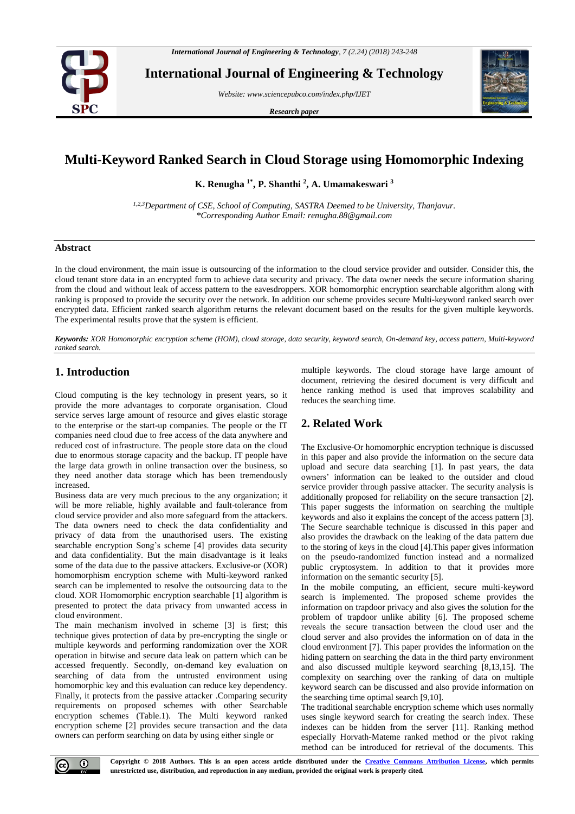

**International Journal of Engineering & Technology**

*Website: www.sciencepubco.com/index.php/IJET*

*Research paper*



# **Multi-Keyword Ranked Search in Cloud Storage using Homomorphic Indexing**

**K. Renugha 1\* , P. Shanthi <sup>2</sup> , A. Umamakeswari <sup>3</sup>**

*1,2,3Department of CSE, School of Computing, SASTRA Deemed to be University, Thanjavur. \*Corresponding Author Email: renugha.88@gmail.com*

## **Abstract**

In the cloud environment, the main issue is outsourcing of the information to the cloud service provider and outsider. Consider this, the cloud tenant store data in an encrypted form to achieve data security and privacy. The data owner needs the secure information sharing from the cloud and without leak of access pattern to the eavesdroppers. XOR homomorphic encryption searchable algorithm along with ranking is proposed to provide the security over the network. In addition our scheme provides secure Multi-keyword ranked search over encrypted data. Efficient ranked search algorithm returns the relevant document based on the results for the given multiple keywords. The experimental results prove that the system is efficient.

*Keywords: XOR Homomorphic encryption scheme (HOM), cloud storage, data security, keyword search, On-demand key, access pattern, Multi-keyword ranked search.*

## **1. Introduction**

Cloud computing is the key technology in present years, so it provide the more advantages to corporate organisation. Cloud service serves large amount of resource and gives elastic storage to the enterprise or the start-up companies. The people or the IT companies need cloud due to free access of the data anywhere and reduced cost of infrastructure. The people store data on the cloud due to enormous storage capacity and the backup. IT people have the large data growth in online transaction over the business, so they need another data storage which has been tremendously increased.

Business data are very much precious to the any organization; it will be more reliable, highly available and fault-tolerance from cloud service provider and also more safeguard from the attackers. The data owners need to check the data confidentiality and privacy of data from the unauthorised users. The existing searchable encryption Song's scheme [4] provides data security and data confidentiality. But the main disadvantage is it leaks some of the data due to the passive attackers. Exclusive-or (XOR) homomorphism encryption scheme with Multi-keyword ranked search can be implemented to resolve the outsourcing data to the cloud. XOR Homomorphic encryption searchable [1] algorithm is presented to protect the data privacy from unwanted access in cloud environment.

The main mechanism involved in scheme [3] is first; this technique gives protection of data by pre-encrypting the single or multiple keywords and performing randomization over the XOR operation in bitwise and secure data leak on pattern which can be accessed frequently. Secondly, on-demand key evaluation on searching of data from the untrusted environment using homomorphic key and this evaluation can reduce key dependency. Finally, it protects from the passive attacker .Comparing security requirements on proposed schemes with other Searchable encryption schemes (Table.1). The Multi keyword ranked encryption scheme [2] provides secure transaction and the data owners can perform searching on data by using either single or

multiple keywords. The cloud storage have large amount of document, retrieving the desired document is very difficult and hence ranking method is used that improves scalability and reduces the searching time.

## **2. Related Work**

The Exclusive-Or homomorphic encryption technique is discussed in this paper and also provide the information on the secure data upload and secure data searching [1]. In past years, the data owners' information can be leaked to the outsider and cloud service provider through passive attacker. The security analysis is additionally proposed for reliability on the secure transaction [2]. This paper suggests the information on searching the multiple keywords and also it explains the concept of the access pattern [3]. The Secure searchable technique is discussed in this paper and also provides the drawback on the leaking of the data pattern due to the storing of keys in the cloud [4].This paper gives information on the pseudo-randomized function instead and a normalized public cryptosystem. In addition to that it provides more information on the semantic security [5].

In the mobile computing, an efficient, secure multi-keyword search is implemented. The proposed scheme provides the information on trapdoor privacy and also gives the solution for the problem of trapdoor unlike ability [6]. The proposed scheme reveals the secure transaction between the cloud user and the cloud server and also provides the information on of data in the cloud environment [7]. This paper provides the information on the hiding pattern on searching the data in the third party environment and also discussed multiple keyword searching [8,13,15]. The complexity on searching over the ranking of data on multiple keyword search can be discussed and also provide information on the searching time optimal search [9,10].

The traditional searchable encryption scheme which uses normally uses single keyword search for creating the search index. These indexes can be hidden from the server [11]. Ranking method especially Horvath-Mateme ranked method or the pivot raking method can be introduced for retrieval of the documents. This

 $\odot$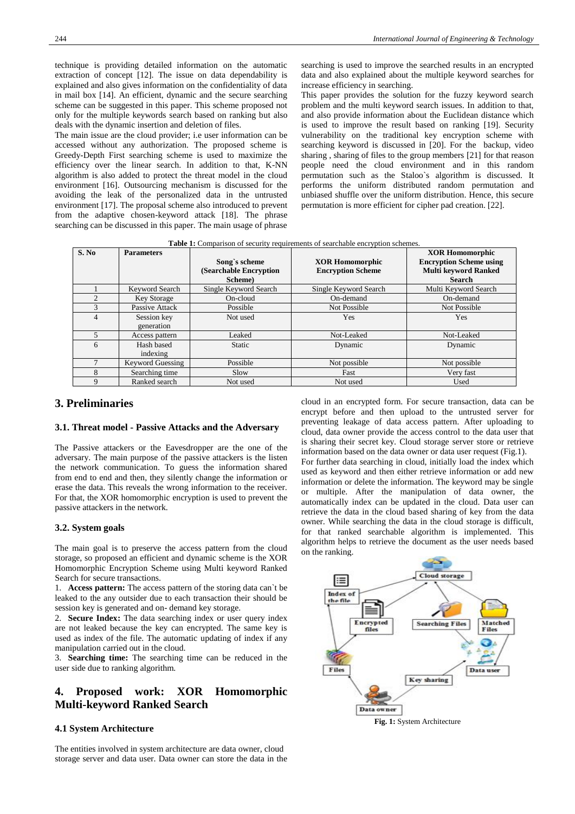technique is providing detailed information on the automatic extraction of concept [12]. The issue on data dependability is explained and also gives information on the confidentiality of data in mail box [14]. An efficient, dynamic and the secure searching scheme can be suggested in this paper. This scheme proposed not only for the multiple keywords search based on ranking but also deals with the dynamic insertion and deletion of files.

The main issue are the cloud provider; i.e user information can be accessed without any authorization. The proposed scheme is Greedy-Depth First searching scheme is used to maximize the efficiency over the linear search. In addition to that, K-NN algorithm is also added to protect the threat model in the cloud environment [16]. Outsourcing mechanism is discussed for the avoiding the leak of the personalized data in the untrusted environment [17]. The proposal scheme also introduced to prevent from the adaptive chosen-keyword attack [18]. The phrase searching can be discussed in this paper. The main usage of phrase searching is used to improve the searched results in an encrypted data and also explained about the multiple keyword searches for increase efficiency in searching.

This paper provides the solution for the fuzzy keyword search problem and the multi keyword search issues. In addition to that, and also provide information about the Euclidean distance which is used to improve the result based on ranking [19]. Security vulnerability on the traditional key encryption scheme with searching keyword is discussed in [20]. For the backup, video sharing , sharing of files to the group members [21] for that reason people need the cloud environment and in this random permutation such as the Staloo`s algorithm is discussed. It performs the uniform distributed random permutation and unbiased shuffle over the uniform distribution. Hence, this secure permutation is more efficient for cipher pad creation. [22].

**Table 1:** Comparison of security requirements of searchable encryption schemes.

| S. No         | <b>Parameters</b>         | Song's scheme<br>(Searchable Encryption | <b>XOR Homomorphic</b><br><b>Encryption Scheme</b> | <b>XOR Homomorphic</b><br><b>Encryption Scheme using</b><br><b>Multi keyword Ranked</b> |
|---------------|---------------------------|-----------------------------------------|----------------------------------------------------|-----------------------------------------------------------------------------------------|
|               |                           | Scheme)                                 |                                                    | <b>Search</b>                                                                           |
|               | Keyword Search            | Single Keyword Search                   | Single Keyword Search                              | Multi Keyword Search                                                                    |
| C             | <b>Key Storage</b>        | On-cloud                                | On-demand                                          | On-demand                                                                               |
| $\mathcal{F}$ | Passive Attack            | Possible                                | Not Possible                                       | Not Possible                                                                            |
| 4             | Session key<br>generation | Not used                                | Yes                                                | Yes                                                                                     |
|               | Access pattern            | Leaked                                  | Not-Leaked                                         | Not-Leaked                                                                              |
| 6             | Hash based<br>indexing    | <b>Static</b>                           | Dynamic                                            | Dynamic                                                                                 |
|               | <b>Keyword Guessing</b>   | Possible                                | Not possible                                       | Not possible                                                                            |
| 8             | Searching time            | Slow                                    | Fast                                               | Very fast                                                                               |
| $\mathbf Q$   | Ranked search             | Not used                                | Not used                                           | Used                                                                                    |

## **3. Preliminaries**

#### **3.1. Threat model - Passive Attacks and the Adversary**

The Passive attackers or the Eavesdropper are the one of the adversary. The main purpose of the passive attackers is the listen the network communication. To guess the information shared from end to end and then, they silently change the information or erase the data. This reveals the wrong information to the receiver. For that, the XOR homomorphic encryption is used to prevent the passive attackers in the network.

#### **3.2. System goals**

The main goal is to preserve the access pattern from the cloud storage, so proposed an efficient and dynamic scheme is the XOR Homomorphic Encryption Scheme using Multi keyword Ranked Search for secure transactions.

1. **Access pattern:** The access pattern of the storing data can`t be leaked to the any outsider due to each transaction their should be session key is generated and on- demand key storage.

2. **Secure Index:** The data searching index or user query index are not leaked because the key can encrypted. The same key is used as index of the file. The automatic updating of index if any manipulation carried out in the cloud.

3. **Searching time:** The searching time can be reduced in the user side due to ranking algorithm.

## **4. Proposed work: XOR Homomorphic Multi-keyword Ranked Search**

#### **4.1 System Architecture**

The entities involved in system architecture are data owner, cloud storage server and data user. Data owner can store the data in the cloud in an encrypted form. For secure transaction, data can be encrypt before and then upload to the untrusted server for preventing leakage of data access pattern. After uploading to cloud, data owner provide the access control to the data user that is sharing their secret key. Cloud storage server store or retrieve information based on the data owner or data user request (Fig.1). For further data searching in cloud, initially load the index which used as keyword and then either retrieve information or add new information or delete the information. The keyword may be single or multiple. After the manipulation of data owner, the automatically index can be updated in the cloud. Data user can retrieve the data in the cloud based sharing of key from the data owner. While searching the data in the cloud storage is difficult, for that ranked searchable algorithm is implemented. This algorithm helps to retrieve the document as the user needs based on the ranking.

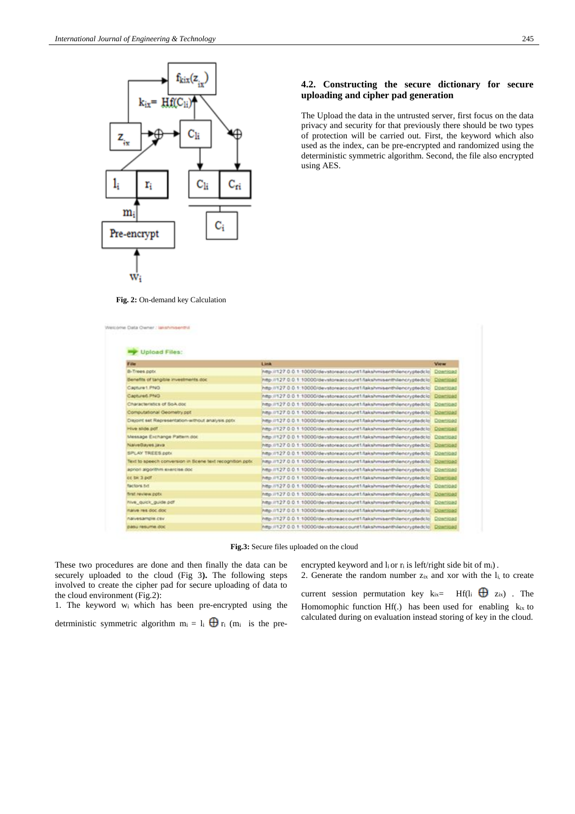

## **4.2. Constructing the secure dictionary for secure uploading and cipher pad generation**

The Upload the data in the untrusted server, first focus on the data privacy and security for that previously there should be two types of protection will be carried out. First, the keyword which also used as the index, can be pre-encrypted and randomized using the deterministic symmetric algorithm. Second, the file also encrypted using AES.

**Fig. 2:** On-demand key Calculation

| Film:                                                     | Link                                                               | <b>View</b>     |
|-----------------------------------------------------------|--------------------------------------------------------------------|-----------------|
| B-Trees.ppbr.                                             | http://127.0.0.1.10000/devstoreaccount1/lakshmisenthäencryptedclo  | Download        |
| Benefits of tangible investments doc                      | http://127.0.0.1.10000/devstoreaccount1/lakshmisenthlencryptedclo  | Download        |
| Capture1 PNO                                              | http://127.0.0.1.10000/devstoreaccount1/lakshmisenthilencryptedclo | Download        |
| Captured PNG                                              | http://127.0.0.1.10000/devstoreaccount1/lakshmisenthilencryptedclo | Download        |
| Characteristics of SoA doc                                | http://127.0.0.1.10000/devstoreaccount1/lakshmisenthilencryptedclo | Download        |
| Computational Geometry pot                                | http://127.0.0.1.10000/devstoreaccount1/lakshmisenthilencryptedclo | Download        |
| Disjoint set Representation-without analysis potx         | http://127.0.0.1.10000/devstoreaccount1/lakshmisenthilencryptedclo | Download        |
| Hive stide poff.                                          | http://127.0.0.1.10000/devstoreaccount1/lakshmisenthliencryptedclo | Download        |
| Message Exchange Pattern doc.                             | http://127.0.0.1.10000/devstoreaccount1/lakshmisenthilencryptedclo | Download        |
| NaiveBayes.java                                           | http://127.0.0.1.10000/devstoreaccount1/lakshmisenthilencryptedclo | Download        |
| SPLAY TREES potx                                          | http://127.0.0.1.10000/devstoreaccount1/lakshmisenthlencryptedclo  | Doenload        |
| Text to speech conversion in Scene text recognition potx. | http://127.0.0.1.10000/devstoreaccount1/lakshmisenthilencryptedclo | Download        |
| apriori algorithm exercise doc                            | http://127.0.0.1.10000/devstoreaccount1/lakshmisenthilencryptedclo | Download        |
| cc bk 3 pdf                                               | http://127.0.0.1.10000/devstoreaccount1/lakshmisenthilencryptedclo | Download        |
| factors tid.                                              | http://127.0.0.1.10000/devstoreaccount1/lakshmisenth/encryptedclo  | Doamjoad        |
| first review potk                                         | http://127.0.0.1.10000/devstoreaccount1/lakshmisenthilencryptedclo | Download        |
| hive quick guide pdf                                      | http://127.0.0.1.10000/devstoreaccount1/lakshmisenthilencryptedclo | Download        |
| naive res doc doc                                         | http://127.0.0.1.10000/devstoreaccount1/lakshmiserith/encryptedclo | Download        |
| пачиватеж сву.                                            | http://127.0.0.1.10000/devstoreaccount1/lakshmisenthilencryptedclo | Download        |
| равці певціта дос                                         | http://127.0.0.1.10000/devstoreaccount1/lakshmisenthilencryptedclo | <b>Download</b> |

**Fig.3:** Secure files uploaded on the cloud

These two procedures are done and then finally the data can be securely uploaded to the cloud (Fig 3**).** The following steps involved to create the cipher pad for secure uploading of data to the cloud environment (Fig.2):

1. The keyword w<sup>i</sup> which has been pre-encrypted using the

detrministic symmetric algorithm  $m_i = l_i \bigoplus r_i$  (m<sub>i</sub> is the pre-

encrypted keyword and li or ri is left/right side bit of mi). 2. Generate the random number  $z_{ix}$  and xor with the  $l_i$ , to create

current session permutation key  $k_{ix} = Hf(l_i \oplus z_{ix})$ . The Homomophic function Hf(.) has been used for enabling kix to calculated during on evaluation instead storing of key in the cloud.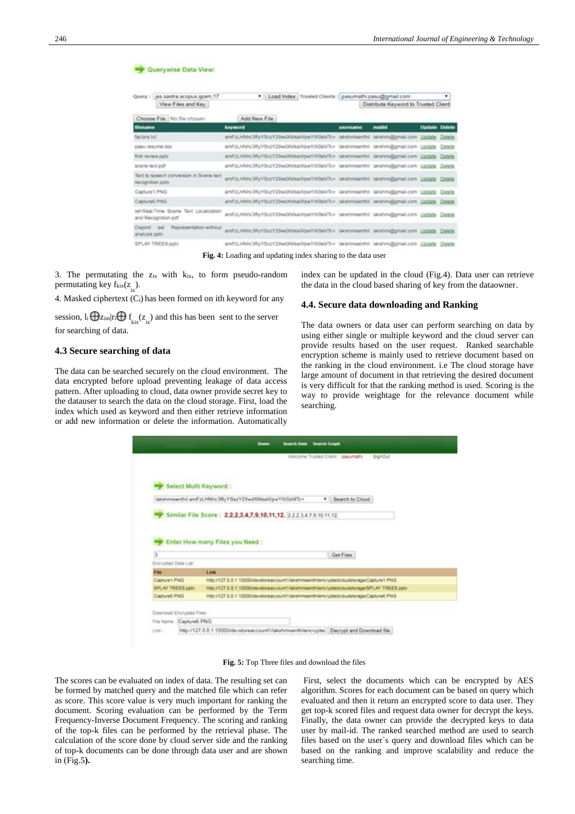| Query : jas.sastra.scopus.ipam.17<br>View Files and Key      |                                                                                       | . Load Index: Trusted Clients : pasumathi: pasu@gmail.com |                  | Distribute Keyword to Trusted Client |                      | ٠      |
|--------------------------------------------------------------|---------------------------------------------------------------------------------------|-----------------------------------------------------------|------------------|--------------------------------------|----------------------|--------|
| Choose File   No file chosen                                 | Add New File                                                                          |                                                           |                  |                                      |                      |        |
| lilename                                                     | keyword                                                                               |                                                           | <b>UNITARINE</b> | madid                                | <b>Update Delete</b> |        |
| factors hit                                                  | amFzLHNhc3RyYBxzY29wdXMsaWpwYW0sMTc= (alishmisenthil talshmi@gmail.com \Jpdate Delete |                                                           |                  |                                      |                      |        |
| basu rasuma doc                                              | amFzLHNhc3RyYSxzY29wdXMs#/tpwYVV0sMTz= takshmisenthil takshmi@gmail.com Update        |                                                           |                  |                                      |                      | Delete |
| first review cotx                                            | anFzLHNcJRyYSczY29w00Ms#ApwYA0sMTc= lastmisenthi lastmi@gmat.com Update               |                                                           |                  |                                      |                      | Delete |
| scene text pdf                                               | amFzLHNHc3RuYSxzY29wdXMa#/tpwY/V0sMTz= takshwsenthil takshm@gmail.com Lipdate Delete  |                                                           |                  |                                      |                      |        |
| Text to speech conversion in Scene text<br>recognition potiv | amFzLHNhc3RyYScrV29wdXMsaWpwYW0sMTc= lakshmiserdhil lakshmi@gmail.com Update Delete   |                                                           |                  |                                      |                      |        |
| Capture 1. PNG                                               | amFzLHNhc3RyYSxzY29edXWsaWpeYW0sMTc= takshmsenthi takshmi@gmail.com Lipdate Delete    |                                                           |                  |                                      |                      |        |
| Captured PNG                                                 | anFzLHNtc3RyYSxzY29wdXMsaWpwYW0sMTc= lakshmaenthil lakshm@gmail.com Lipdate Delete    |                                                           |                  |                                      |                      |        |
| ref-Real-Time Scene Text Localization<br>and Recognition.pdf | anFzLHNN:3RyYSxzV29wdXVaaVipwYW0sMTc= talshmsenthl lalshm@gmal.com Lipdate Delete     |                                                           |                  |                                      |                      |        |
| Representation-without<br>Disjoint<br>analysis pptx          | amPzLHNHc3RyYSxzY29adXMaaWpwYW0sMTc= takshmsenthil takshm@gmail.com Update Delete     |                                                           |                  |                                      |                      |        |
| SPLAY TREES pptx                                             | amFzLHNhc3RyYSxzY29wdXVIsaWpwYW06MTc= lakshridenthil lakshrni@gmail.com Update Delete |                                                           |                  |                                      |                      |        |

**Fig. 4:** Loading and updating index sharing to the data user

3. The permutating the zix with kix, to form pseudo-random permutating key  $f_{kix}(z)$ .

4. Masked ciphertext (Ci) has been formed on ith keyword for any

session,  $I_i \bigoplus Z_{im}|r_i \bigoplus f_{kix}(z_{ix})$  and this has been sent to the server for searching of data.

#### **4.3 Secure searching of data**

The data can be searched securely on the cloud environment. The data encrypted before upload preventing leakage of data access pattern. After uploading to cloud, data owner provide secret key to the datauser to search the data on the cloud storage. First, load the index which used as keyword and then either retrieve information or add new information or delete the information. Automatically index can be updated in the cloud (Fig.4). Data user can retrieve the data in the cloud based sharing of key from the dataowner.

#### **4.4. Secure data downloading and Ranking**

The data owners or data user can perform searching on data by using either single or multiple keyword and the cloud server can provide results based on the user request. Ranked searchable encryption scheme is mainly used to retrieve document based on the ranking in the cloud environment. i.e The cloud storage have large amount of document in that retrieving the desired document is very difficult for that the ranking method is used. Scoring is the way to provide weightage for the relevance document while searching.

|                                                                                  | Walcome Trusted Client: pasumathi<br><b>BignOut</b>                                        |
|----------------------------------------------------------------------------------|--------------------------------------------------------------------------------------------|
|                                                                                  |                                                                                            |
|                                                                                  |                                                                                            |
| Select Multi Keyword:                                                            |                                                                                            |
|                                                                                  |                                                                                            |
|                                                                                  | lakshmserthil.amFzLHNhc3RyYSxzY29wdXMsaWpwYW0sMTc=<br>· Search to Cloud                    |
|                                                                                  |                                                                                            |
|                                                                                  | Similar File Score: 2,2,2,3,4,7,9,10,11,12, 2223.47.9.10.11.12.                            |
|                                                                                  |                                                                                            |
|                                                                                  |                                                                                            |
|                                                                                  |                                                                                            |
|                                                                                  |                                                                                            |
|                                                                                  | Enter How many Files you Need :                                                            |
| з                                                                                | Get Files                                                                                  |
|                                                                                  |                                                                                            |
|                                                                                  | Link                                                                                       |
|                                                                                  | http://127.0.0.1.10000/devstoreaccount1/talishmisenthliencryptedcioudstorage/Capture1.PNG  |
|                                                                                  | http://127.0.0.1.10000/devstoreaccount1/takshmeanthlencryptedcloudstorage/SPLAY TREES.ppb: |
| Encrypted Data List.<br>File<br>Capture1.PNG<br>SPLAY TREES pptx<br>Capture6.PNO | http://127.0.0.1.10000/devstoreaccount1/talishmasinthilencryptedcloudstorage/Capture8.PNG  |
|                                                                                  |                                                                                            |
| Download Encrypted Files:                                                        |                                                                                            |

**Fig. 5:** Top Three files and download the files

The scores can be evaluated on index of data. The resulting set can be formed by matched query and the matched file which can refer as score. This score value is very much important for ranking the document. Scoring evaluation can be performed by the Term Frequency-Inverse Document Frequency. The scoring and ranking of the top-k files can be performed by the retrieval phase. The calculation of the score done by cloud server side and the ranking of top-k documents can be done through data user and are shown in (Fig.5**).**

First, select the documents which can be encrypted by AES algorithm. Scores for each document can be based on query which evaluated and then it return an encrypted score to data user. They get top-k scored files and request data owner for decrypt the keys. Finally, the data owner can provide the decrypted keys to data user by mail-id. The ranked searched method are used to search files based on the user`s query and download files which can be based on the ranking and improve scalability and reduce the searching time.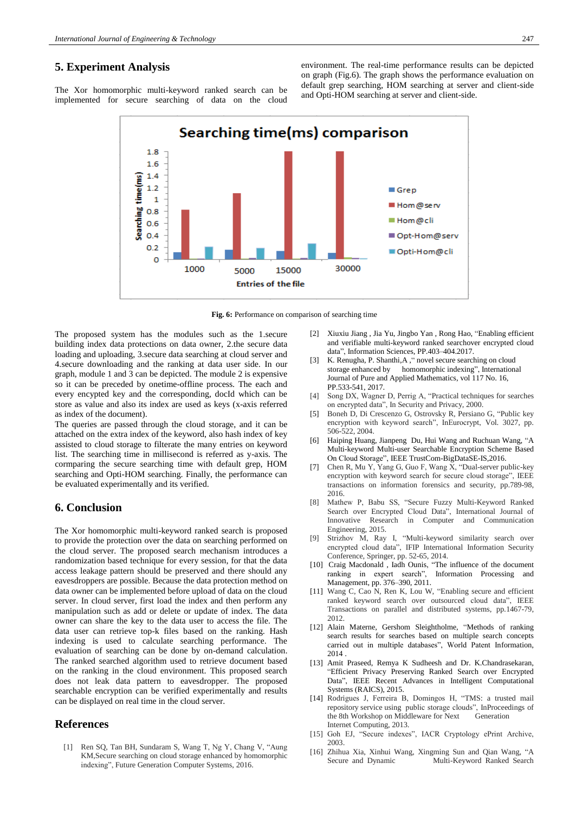### **5. Experiment Analysis**

The Xor homomorphic multi-keyword ranked search can be implemented for secure searching of data on the cloud environment. The real-time performance results can be depicted on graph (Fig.6). The graph shows the performance evaluation on default grep searching, HOM searching at server and client-side and Opti-HOM searching at server and client-side.



**Fig. 6:** Performance on comparison of searching time

The proposed system has the modules such as the 1.secure building index data protections on data owner, 2.the secure data loading and uploading, 3.secure data searching at cloud server and 4.secure downloading and the ranking at data user side. In our graph, module 1 and 3 can be depicted. The module 2 is expensive so it can be preceded by onetime-offline process. The each and every encypted key and the corresponding, docId which can be store as value and also its index are used as keys (x-axis referred as index of the document).

The queries are passed through the cloud storage, and it can be attached on the extra index of the keyword, also hash index of key assisted to cloud storage to filterate the many entries on keyword list. The searching time in millisecond is referred as y-axis. The cormparing the secure searching time with default grep, HOM searching and Opti-HOM searching. Finally, the performance can be evaluated experimentally and its verified.

## **6. Conclusion**

The Xor homomorphic multi-keyword ranked search is proposed to provide the protection over the data on searching performed on the cloud server. The proposed search mechanism introduces a randomization based technique for every session, for that the data access leakage pattern should be preserved and there should any eavesdroppers are possible. Because the data protection method on data owner can be implemented before upload of data on the cloud server. In cloud server, first load the index and then perform any manipulation such as add or delete or update of index. The data owner can share the key to the data user to access the file. The data user can retrieve top-k files based on the ranking. Hash indexing is used to calculate searching performance. The evaluation of searching can be done by on-demand calculation. The ranked searched algorithm used to retrieve document based on the ranking in the cloud environment. This proposed search does not leak data pattern to eavesdropper. The proposed searchable encryption can be verified experimentally and results can be displayed on real time in the cloud server.

### **References**

[1] Ren SQ, Tan BH, Sundaram S, Wang T, Ng Y, Chang V, "Aung KM,Secure searching on cloud storage enhanced by homomorphic indexing", Future Generation Computer Systems, 2016.

- [2] Xiuxiu Jiang , Jia Yu, Jingbo Yan , Rong Hao, "Enabling efficient and verifiable multi-keyword ranked searchover encrypted cloud data", Information Sciences, PP.403–404.2017.
- [3] K. Renugha, P. Shanthi, A, " novel secure searching on cloud storage enhanced by homomorphic indexing", International Journal of Pure and Applied Mathematics, vol 117 No. 16, PP.533-541, 2017.
- [4] Song DX, Wagner D, Perrig A, "Practical techniques for searches on encrypted data", In Security and Privacy, 2000.
- [5] Boneh D, Di Crescenzo G, Ostrovsky R, Persiano G, "Public key encryption with keyword search", InEurocrypt, Vol. 3027, pp. 506-522, 2004.
- [6] Haiping Huang, Jianpeng Du, Hui Wang and Ruchuan Wang, "A Multi-keyword Multi-user Searchable Encryption Scheme Based On Cloud Storage", IEEE TrustCom-BigDataSE-IS,2016.
- [7] Chen R, Mu Y, Yang G, Guo F, Wang X, "Dual-server public-key encryption with keyword search for secure cloud storage", IEEE transactions on information forensics and security, pp.789-98, 2016.
- [8] Mathew P, Babu SS, "Secure Fuzzy Multi-Keyword Ranked Search over Encrypted Cloud Data", International Journal of Innovative Research in Computer and Communication Engineering, 2015.
- [9] Strizhov M, Ray I, "Multi-keyword similarity search over encrypted cloud data", IFIP International Information Security Conference, Springer, pp. 52-65, 2014.
- [10] Craig Macdonald , Iadh Ounis, "The influence of the document ranking in expert search", Information Processing and Management, pp. 376–390, 2011.
- [11] Wang C, Cao N, Ren K, Lou W, "Enabling secure and efficient ranked keyword search over outsourced cloud data", IEEE Transactions on parallel and distributed systems, pp.1467-79, 2012.
- [12] Alain Materne, Gershom Sleightholme, "Methods of ranking search results for searches based on multiple search concepts carried out in multiple databases", World Patent Information, 2014 .
- [13] Amit Praseed, Remya K Sudheesh and Dr. K.Chandrasekaran, "Efficient Privacy Preserving Ranked Search over Encrypted Data", IEEE Recent Advances in Intelligent Computational Systems (RAICS), 2015.
- [14] Rodrigues J, Ferreira B, Domingos H, "TMS: a trusted mail repository service using public storage clouds", InProceedings of the 8th Workshop on Middleware for Next Generation Internet Computing, 2013.
- [15] Goh EJ, "Secure indexes", IACR Cryptology ePrint Archive, 2003.
- [16] Zhihua Xia, Xinhui Wang, Xingming Sun and Qian Wang, "A Secure and Dynamic Multi-Keyword Ranked Search